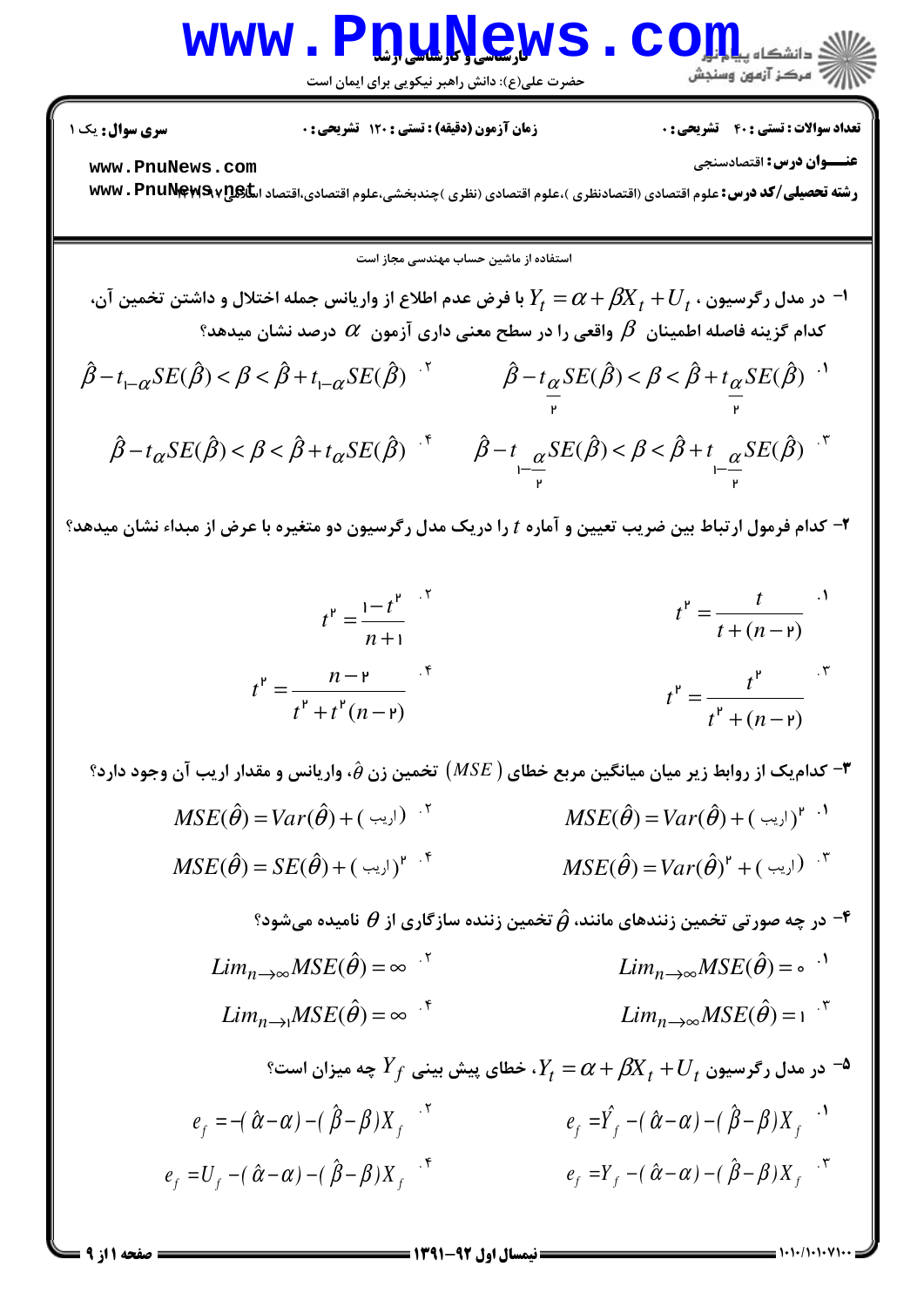### www.P<u>nuNe</u>ws.com

حضرت علي(ع): دانش راهبر نيكويي براي ايمان است

تعداد سوالات : تستي تشريحي زمان آزمون (دقيقه) : تستي تشريحي سري سوال \$ % ': \$(': ' &': : :

**عنـــوان درس:** اقتصادسنجي

**[www.PnuNews.com](http://pnunews.com)**

ر**شته تحصیلی/کد درس:** علوم اقتصادی (اقتصادنظری )،علوم اقتصادی (نظری )چندبخشی،علوم اقتصادی،اقتصاد اس**کی www . PnuNews v** 

استفاده از ماشین حساب مهندس*ی* مجاز است

- $\cdot$  در مدل رگرسیون  $V_t+J_t+\beta$  با فرض عدم اطلاع از واریانس جمله اختلال و داشتن تخمین آن  $\cdot$  $\alpha$  کدام گزینه فاصله اطمینان  $\,\beta\,$  واقعی را در سطح معنی داری آزمون  $\,\alpha\,$  درصد نشان میدهد
- $\hat{\beta} t_{\alpha} \text{SE}(\hat{\beta}) < \beta < \hat{\beta} + t_{\alpha} \text{SE}(\hat{\beta})$  $\mathbf{r}$  $\hat{\beta} - t_{1-\alpha}SE(\hat{\beta}) < \beta < \hat{\beta} + t_{1-\alpha}SE(\hat{\beta})$ <sup>'</sup>  $\hat{\beta} - t_{\alpha}SE(\hat{\beta}) < \beta < \hat{\beta} + t_{\alpha}SE(\hat{\beta})$ <sup>'</sup>  $\hat{\beta}-t \alpha SE(\hat{\beta}) < \beta < \hat{\beta}+t \alpha SE(\hat{\beta})$ <sup>2</sup> ์<br>เ  $\frac{u}{r}$  $\hat{\beta} - t_{\alpha}SE(\hat{\beta}) < \beta < \hat{\beta} + t_{\alpha}SE(\hat{\beta})$ <sup>+</sup>  $\hat{\beta} - t_{\alpha}SE(\hat{\beta}) < \beta < \hat{\beta} + t_{\alpha}SE(\hat{\beta})$ <sup>+</sup>

۲- کدام فرمول ارتباط بین ضریب تعیین و آماره t را دریک مدل رگرسیون دو متغیره با عرض از مبداء نشان میدهد؟

$$
t^{P} = \frac{1-t^{P}}{n+1}
$$
  

$$
t^{P} = \frac{t}{t+(n-p)}
$$
  

$$
t^{P} = \frac{t}{t+(n-p)}
$$
  

$$
t^{P} = \frac{t^{P}}{t+(n-p)}
$$
  

$$
t^{P} = \frac{t^{P}}{t+(n-p)}
$$

 $^{\bullet}$ - کدامیک از روابط زیر میان میانگین مربع خطای (  $MSE$ ) تخمین زن  $\hat{\theta}$ ، واریانس و مقدار اریب آن وجود دارد $^{\bullet}$ 

) + ( اریب ) + ( *MSE*( $\hat{\theta}$ ) = Var( $\hat{\theta}$ ) + ( <sup>1</sup> (اریب )<sup>4</sup> <sup>1</sup>  $MSE(\hat{\theta}) = Var(\hat{\theta}) +$ .۴  $\mathit{MSE}(\hat{\theta}) = \mathit{Var}(\hat{\theta})^{\mathsf{r}} + (\mathit{\cdots})^{\mathsf{r}}$  $MSE(\hat{\theta}) = SE(\hat{\theta}) + (\sqrt{2\pi\kappa})^{\kappa}$ 

- در چه صورتی تخمین زنندهای مانند،  $\hat{\theta}$  تخمین زننده سازگاری از  $\theta$  نامیده میشود  $^{\circ}$ 

.<sup> $\text{I}$ </sup>  $\text{L}im_{n\rightarrow\infty}MSE(\hat{\theta}) = \text{0}$ <sup>.1</sup>  $Lim_{n\to\infty}MSE(\hat{\theta}) = \infty$ <sup>5</sup>  $Lim_{n\to\infty}MSE(\hat{\theta})$  $\lim_{n\to\infty} MSE(\hat{\theta}) = \infty$ <sup>\*</sup><br>*Lim*<sub>n→∞</sub>MSE( $\hat{\theta}$ ) = 1<sup>\*</sup>  $Lim_{n\rightarrow 1}MSE(\hat{\theta}) = \infty$ <sup>\*</sup>

$$
Y_f \n\begin{aligned}\ne_f &= \mathcal{U}_f + \mathcal{U}_t \quad \text{and} \quad Y_f &= \alpha + \beta X_t + U_t \quad \text{and} \quad \mathcal{U}_f = -(\hat{\alpha} - \alpha) - (\hat{\beta} - \beta)X_f \quad \text{and} \quad \mathcal{U}_f &= -(\hat{\alpha} - \alpha) - (\hat{\beta} - \beta)X_f \quad \text{and} \quad \mathcal{U}_f &= Y_f - (\hat{\alpha} - \alpha) - (\hat{\beta} - \beta)X_f \quad \text{and} \quad \mathcal{U}_f &= Y_f - (\hat{\alpha} - \alpha) - (\hat{\beta} - \beta)X_f \quad \text{and} \quad \mathcal{U}_f &= Y_f - (\hat{\alpha} - \alpha) - (\hat{\beta} - \beta)X_f \quad \text{and} \quad \mathcal{U}_f &= Y_f - (\hat{\alpha} - \alpha) - (\hat{\beta} - \beta)X_f \quad \text{and} \quad \mathcal{U}_f &= Y_f - (\hat{\alpha} - \alpha) - (\hat{\beta} - \beta)X_f \quad \text{and} \quad \mathcal{U}_f &= Y_f - (\hat{\alpha} - \alpha) - (\hat{\beta} - \beta)X_f \quad \text{and} \quad \mathcal{U}_f &= Y_f - (\hat{\alpha} - \alpha) - (\hat{\beta} - \beta)X_f \quad \text{and} \quad \mathcal{U}_f &= Y_f - (\hat{\alpha} - \alpha) - (\hat{\beta} - \beta)X_f \quad \text{and} \quad \mathcal{U}_f &= Y_f - (\hat{\alpha} - \alpha) - (\hat{\beta} - \beta)X_f \quad \text{and} \quad \mathcal{U}_f &= Y_f - (\hat{\alpha} - \alpha) - (\hat{\beta} - \beta)X_f \quad \text{and} \quad \mathcal{U}_f &= Y_f - (\hat{\alpha} - \alpha) - (\hat{\beta} - \beta)X_f \quad \text{and} \quad \mathcal{U}_f &= Y_f - (\hat{\alpha} - \alpha) - (\hat{\beta} - \beta)X_f \quad \text{and} \quad \mathcal{U}_f &= Y_f - (\hat{\alpha} - \alpha) - (\hat{\beta} - \beta)X_f \quad \text{and} \quad \mathcal{U}_f &= Y_f - (\hat{\alpha} - \alpha) - (\hat{\beta} - \beta)X_f \quad \text
$$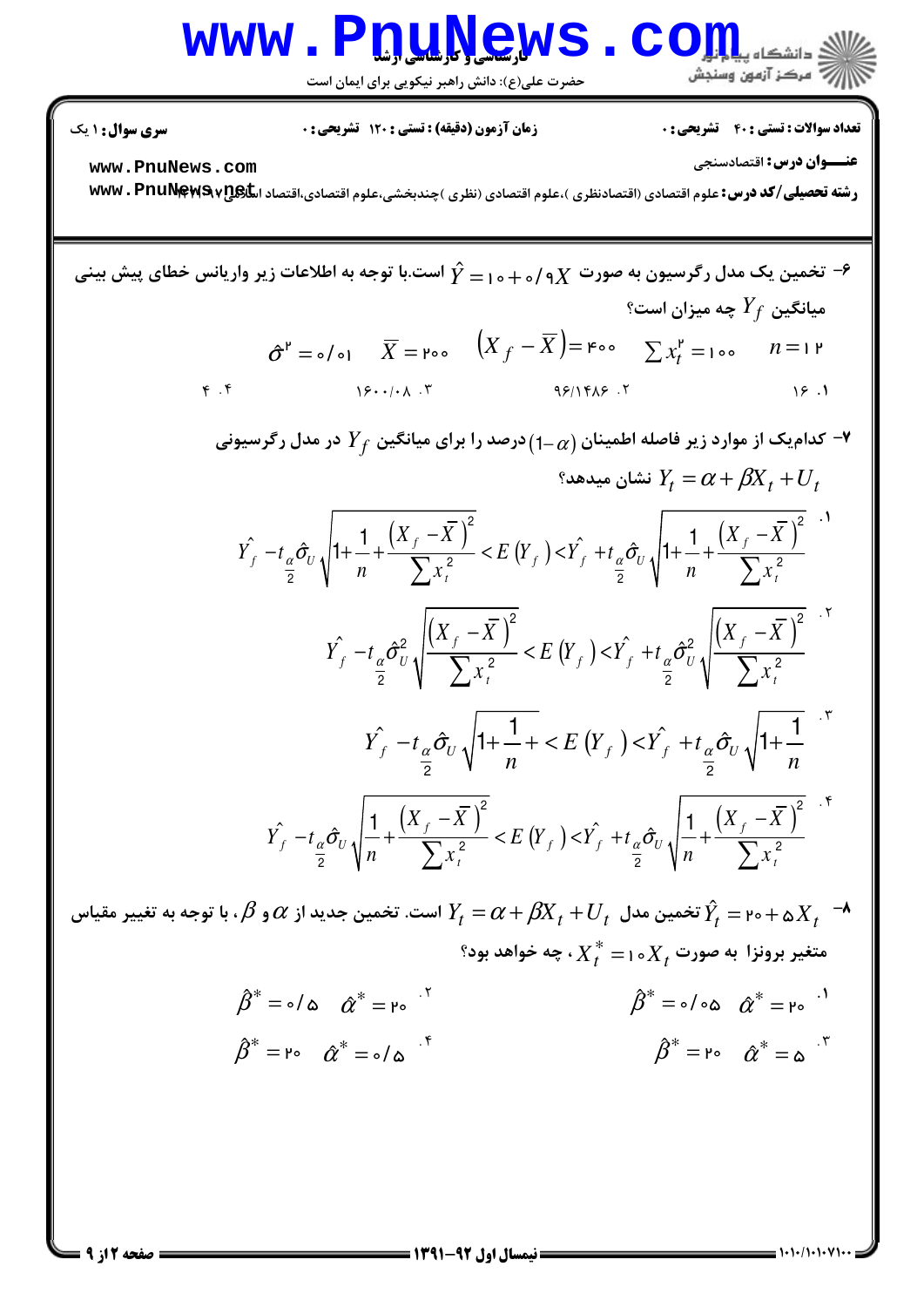# Www.PnuNews.Com

حضرت علی(ع): دانش راهبر نیکویی برای ایمان است

**تعداد سوالات : تستی : 40 قشریحی : 0** 

**زمان آزمون (دقیقه) : تستی : 120 تشریحی: 0** 

**سری سوال : ۱ یک** 

عنــوان درس: اقتصادسنجي

www.PnuNews.com

رشته تحصیلی/کد درس: علوم اقتصادی (اقتصادنظری )،علوم اقتصادی (نظری )چندبخشی،علوم اقتصادی،اقتصاد اسکیاپی۷۲۵۹۷۳۰ ۲۳۷۷۰

$$
\hat{Y} = 1 - \hat{Y} + \hat{Y} + \hat{Y}
$$
\n
$$
\hat{Y} = 0 - \hat{Y} + \hat{Y} + \hat{Y}
$$
\n
$$
\hat{Y} = 0 - \hat{Y} + \hat{Y} + \hat{Y}
$$
\n
$$
\hat{Y} = 0 - \hat{Y} + \hat{Y} + \hat{Y}
$$
\n
$$
\hat{Y} = 0 - \hat{Y} + \hat{Y} + \hat{Y} + \hat{Y} + \hat{Y} + \hat{Y} + \hat{Y} + \hat{Y} + \hat{Y} + \hat{Y} + \hat{Y} + \hat{Y} + \hat{Y} + \hat{Y} + \hat{Y} + \hat{Y} + \hat{Y} + \hat{Y} + \hat{Y} + \hat{Y} + \hat{Y} + \hat{Y} + \hat{Y} + \hat{Y} + \hat{Y} + \hat{Y} + \hat{Y} + \hat{Y} + \hat{Y} + \hat{Y} + \hat{Y} + \hat{Y} + \hat{Y} + \hat{Y} + \hat{Y} + \hat{Y} + \hat{Y} + \hat{Y} + \hat{Y} + \hat{Y} + \hat{Y} + \hat{Y} + \hat{Y} + \hat{Y} + \hat{Y} + \hat{Y} + \hat{Y} + \hat{Y} + \hat{Y} + \hat{Y} + \hat{Y} + \hat{Y} + \hat{Y} + \hat{Y} + \hat{Y} + \hat{Y} + \hat{Y} + \hat{Y} + \hat{Y} + \hat{Y} + \hat{Y} + \hat{Y} + \hat{Y} + \hat{Y} + \hat{Y} + \hat{Y} + \hat{Y} + \hat{Y} + \hat{Y} + \hat{Y} + \hat{Y} + \hat{Y} + \hat{Y} + \hat{Y} + \hat{Y} + \hat{Y} + \hat{Y} + \hat{Y} + \hat{Y} + \hat{Y} + \hat{Y} + \hat{Y} + \hat{Y} + \hat{Y} + \hat{Y} + \hat{Y} + \hat{Y} + \hat{Y} + \hat{Y} + \hat{Y} + \hat{Y} + \hat{Y} + \hat{Y} + \hat{Y} + \hat{Y} + \hat{Y} + \hat{Y} + \hat{Y} + \hat{Y} + \hat{Y} + \hat{Y} + \hat{Y} + \hat{
$$

$$
\hat{\beta}^* = \circ/\omega \quad \hat{\alpha}^* = \gamma \circ \hat{\beta}^* = \circ/\omega \quad \hat{\alpha}^* = \gamma \circ \hat{\beta}^* = \gamma \circ \hat{\alpha}^* = \gamma \circ \hat{\beta}^* = \gamma \circ \hat{\alpha}^* = \omega \quad \hat{\beta}^* = \gamma \circ \hat{\alpha}^* = \omega \quad \hat{\gamma}^*
$$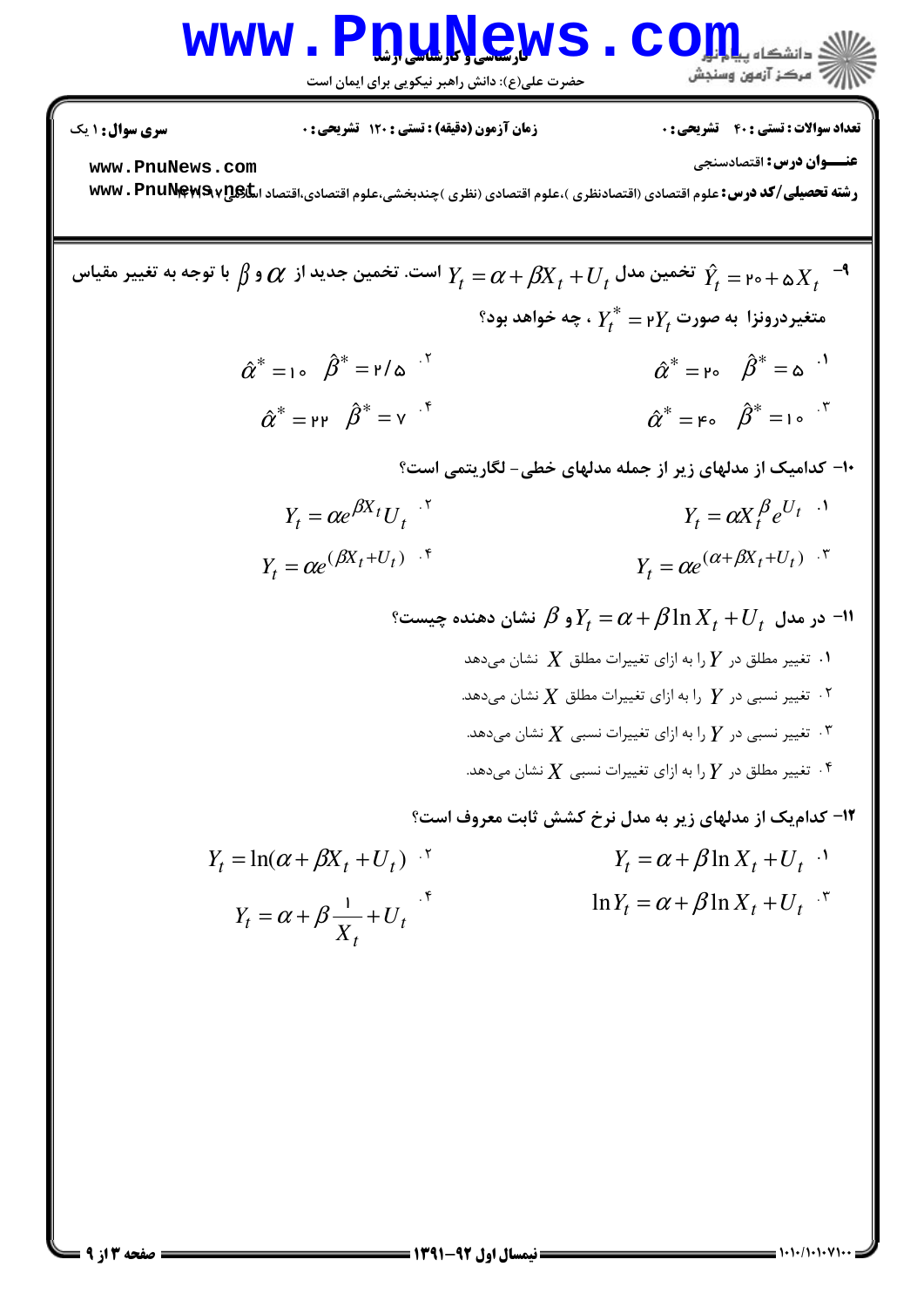# Www.Pnu.News.com

حضرت علی(ع): دانش راهبر نیکویی برای ایمان است

**تعداد سوالات : تستی : 40 - تشریحی : 0** 

زمان آزمون (دقیقه) : تستی : 120 تشریحی : 0

<mark>سری سوال :</mark> ۱ یک

عنــوان درس: اقتصادسنجي

www.PnuNews.com

رشته تحصیلی/کد درس: علوم اقتصادی (اقتصادنظری )،علوم اقتصادی (نظری )چندبخشی،علوم اقتصادی،اقتصاد اسکی www . PnuNewS v

تخمین مدل  $\beta_I+U_t$  است. تخمین جدید از  $\alpha$  و  $\beta$  با توجه به تغییر مقیاس  $Y_t=\alpha+\beta$   $X_t$   $^{-1}$  $\mathbf{R}^\ast$ متغیردرونزا به صورت  $Y^\ast_t = \mathsf{P} Y^\ast_t$  ، چه خواهد بود  $\hat{\alpha}^* = 1$   $\hat{\beta}^* = 1/\hat{\beta}$  $\hat{\alpha}^* = \upmu \circ \hat{\beta}^* = \upmu \circ \theta$  $\hat{\alpha}^* = \mathsf{H} \mathsf{H} \quad \hat{\beta}^* = \mathsf{V} \quad \hat{\mathsf{H}}$  $\hat{\alpha}^* = \varepsilon_0 \quad \hat{\beta}^* = \varepsilon_0 \quad \tilde{\beta}^*$ ۱۰- کدامیک از مدلهای زیر از جمله مدلهای خطی- لگاریتمی است؟  $Y_t = \alpha e^{\beta X_t} U_t$ .  $Y_t = \alpha X_t^{\beta} e^{U_t}$  $Y_t = \alpha e^{(\beta X_t + U_t)}$ .  $Y_t = \alpha e^{(\alpha + \beta X_t + U_t)}$ . ° در مدل  $U_t + \beta \ln X_t + U_t$  و $Y_t \in \mathcal{S}$  نشان دهنده چیست $Y_t = \alpha + \beta \ln X_t + U_t$ ۰۱ . تغییر مطلق در  $Y$  را به ازای تغییرات مطلق  $X$  نشان می $\mathfrak{so}$ ۰۲ تغییر نسبی در  $Y$  را به ازای تغییرات مطلق  $X$  نشان میدهد.  $^\star$ ۰۳ تغییر نسبی در  $Y$  را به ازای تغییرات نسبی  $X$  نشان میدهد. " ۰۴ تغییر مطلق در  $Y$  را به ازای تغییرات نسبی  $X$  نشان میدهد.  $^\circ$ **۱۲- کدامیک از مدلهای زیر به مدل نرخ کشش ثابت معروف است؟**  $Y_t = \ln(\alpha + \beta X_t + U_t)^{-1}$  $Y_t = \alpha + \beta \ln X_t + U_t$ .

 $\ln Y_t = \alpha + \beta \ln X_t + U_t$  $Y_t = \alpha + \beta \frac{1}{X} + U_t$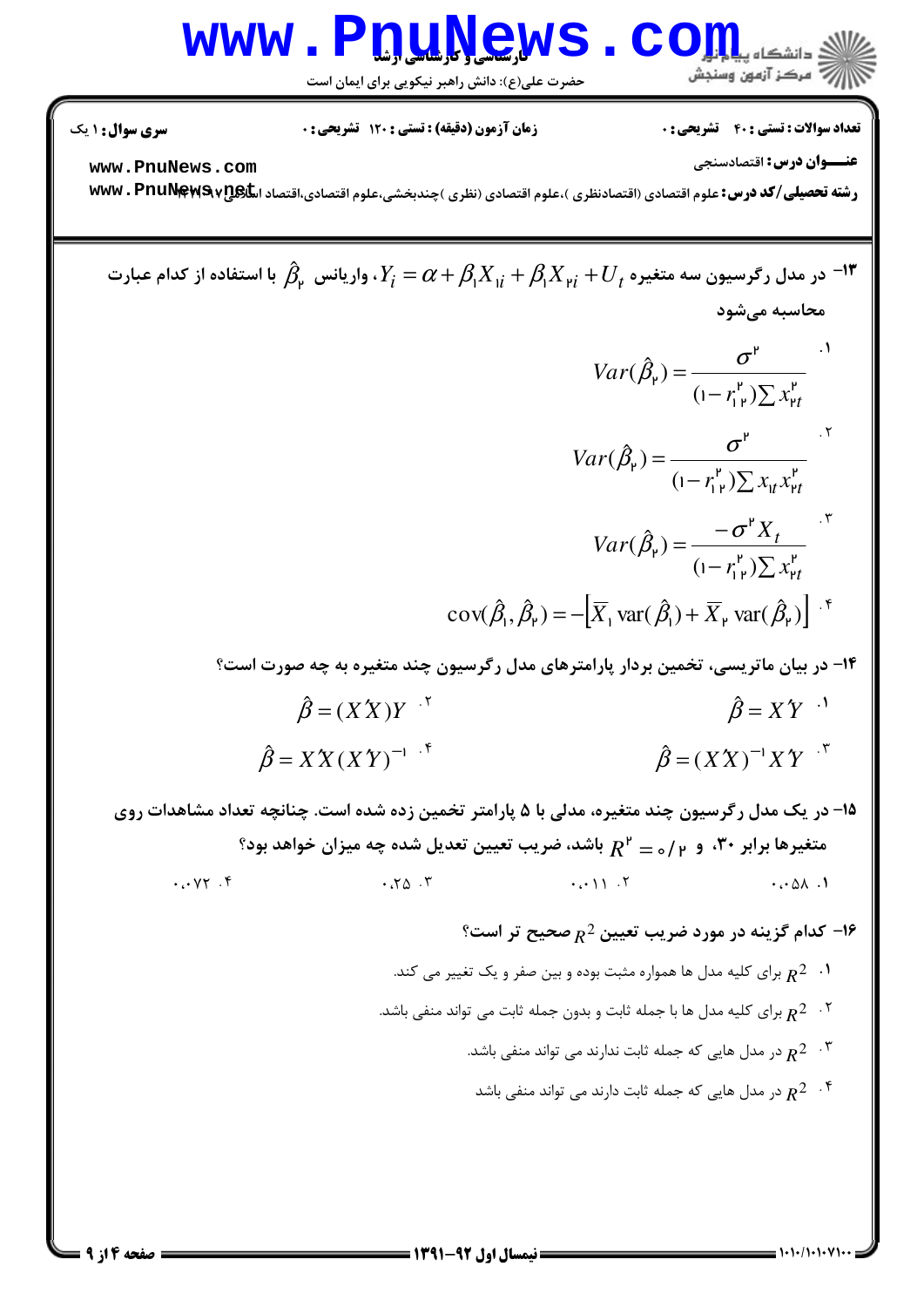

حضرت علی(ع): دانش راهبر نیکویی برای ایمان است

**تعداد سوالات : تستی : 40 قشریحی : 0** 

**زمان آزمون (دقیقه) : تستی : ۱۲۰ تشریحی: 0** 

**سری سوال : ۱ یک** 

عنــوان درس: اقتصادسنجي

www.PnuNews.com

رشته تحصیلی/کد درس: علوم اقتصادی (اقتصادنظری )،علوم اقتصادی (نظری )چندبخشی،علوم اقتصادی،اقتصاد اسکیاپی۷۲۵۹۷۳۰ ۲۳۷۷۰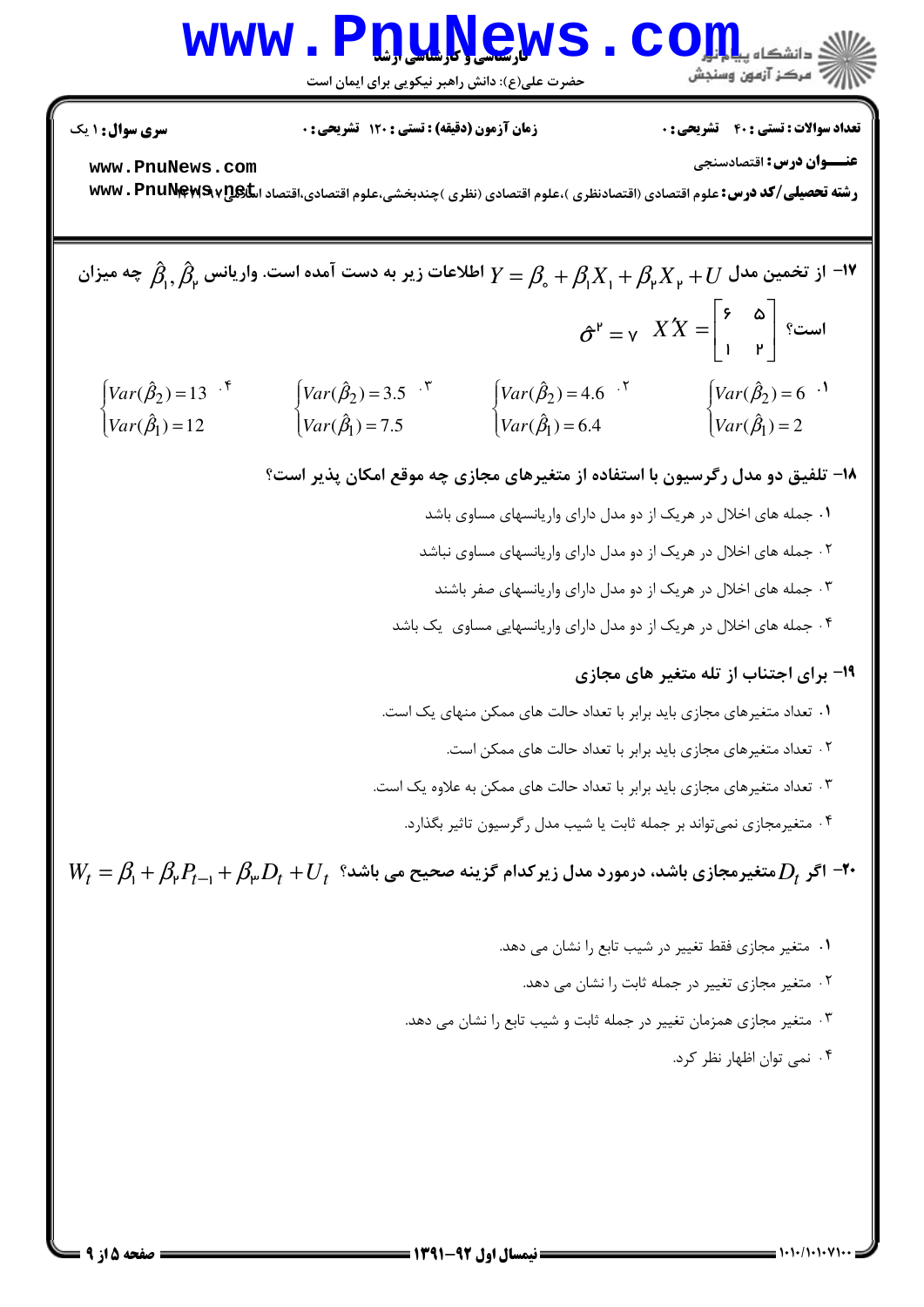# Www.PnuNews.Com

حضرت علی(ع): دانش راهبر نیکویی برای ایمان است

**تعداد سوالات : تستی : 40 قشریحی : 0** 

**زمان آزمون (دقیقه) : تستی : ۱۲۰ تشریحی: 0** 

**سری سوال : ۱ یک** 

عنــوان درس: اقتصادسنجي

www.PnuNews.com

رشته تحصیلی/کد درس: علوم اقتصادی (اقتصادنظری )،علوم اقتصادی (نظری )چندبخشی،علوم اقتصادی،اقتصاد اسکیاپی۷ www . PnuNewS

۰۲ متغیر مجازی تغییر در جمله ثابت را نشان می دهد.

۰۳ متغیر مجازی همزمان تغییر در جمله ثابت و شیب تابع را نشان می دهد.

۰۴ نمی توان اظهار نظر کرد.

 $=$   $\frac{1}{1}$   $\frac{1}{1}$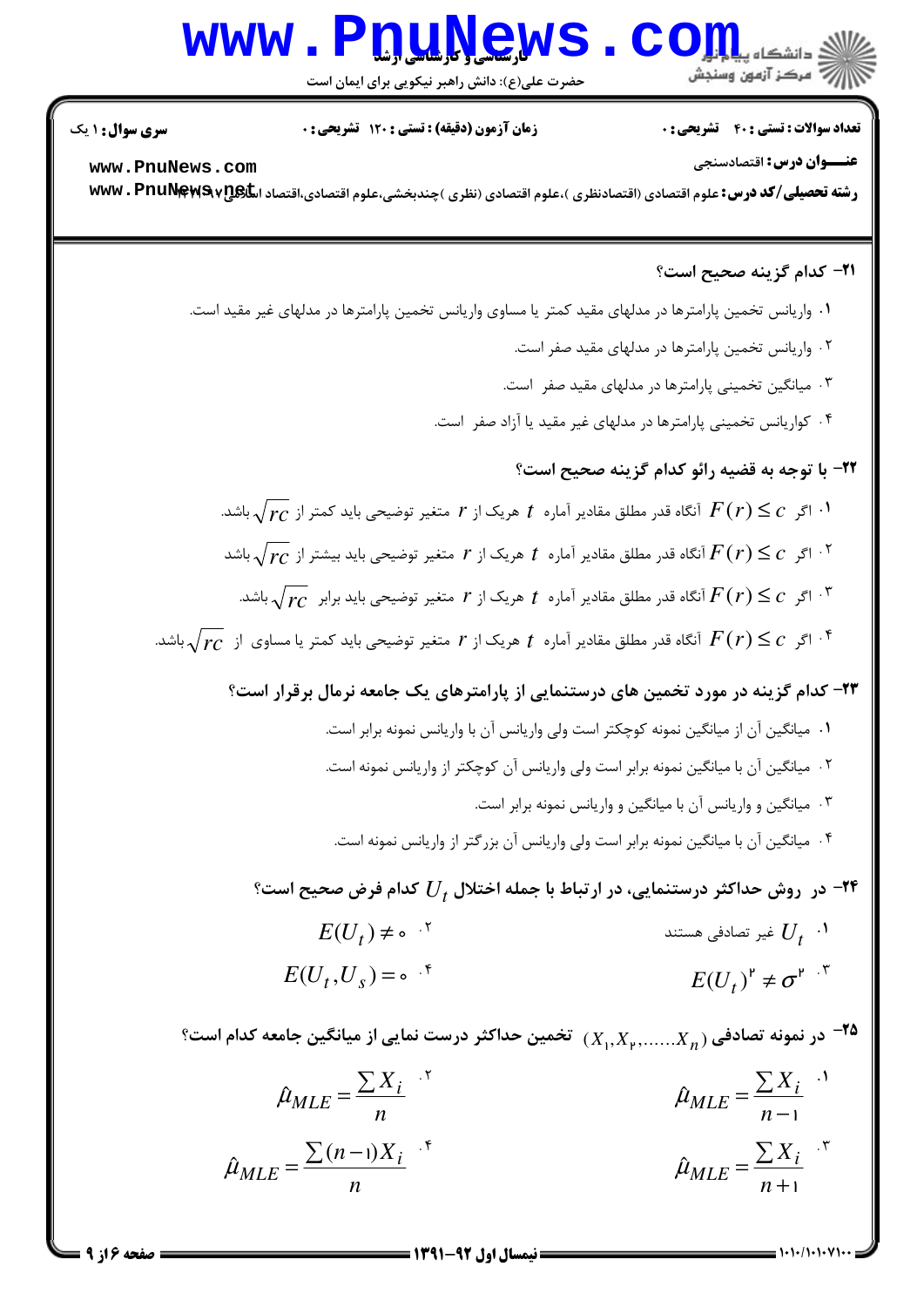### **www.PnuNews.com**

حضرت علی(ع): دانش راهبر نیکویی برای ایمان است

**تعداد سوالات : تستي : 40 ٪ تشريحي : 0** 

زمان آزمون (دقیقه) : تستی : 120 تشریحی : 0

**سری سوال : ۱ یک** 

عنــوان درس: اقتصادسنجي www.PnuNews.com رشته تحصیلی/کد درس: علوم اقتصادی (اقتصادنظری )،علوم اقتصادی (نظری )چندبخشی،علوم اقتصادی،اقتصاد اسکیاپهی۷۲۹ WWW

#### **٣١- كدام گزينه صحيح است؟**

 $= 1.11/(1.1.81)$ 

٠١ واريانس تخمين پارامترها در مدلهاي مقيد كمتر يا مساوي واريانس تخمين پارامترها در مدلهاي غير مقيد است. ۲ . واریانس تخمین پارامترها در مدلهای مقید صفر است. ۰۳ میانگین تخمینی پا<sub>د</sub>امترها در مدلهای مقید صفر است. ۰۴ کواریانس تخمینی پارامترها در مدلهای غیر مقید یا آزاد صفر است. ٢٢- با توجه به قضيه رائو كدام گزينه صحيح است؟ ا اگر  $c\leq c$  آنگاه قدر مطلق مقادیر آماره  $t$  هریک از  $r$  متغیر توضیحی باید کمتر از  $\sqrt{rc}$  باشد.  $\sqrt{r}$ ا اگر  $c\leq c$  آنگاه قدر مطلق مقادیر آماره  $t$  هریک از  $r$  متغیر توضیحی باید بیشتر از  $\sqrt{r}$ ر باشد  $^{\mathsf{N}}$ اگر  $\overline{f}(r) \leq r$  آنگاه قدر مطلق مقادیر آماره  $t$  هریک از  $r$  متغیر توضیحی باید برابر  $\overline{r}$ د باشد.  $^{\mathsf{r}}$ اگر  $F(r) \leq c$  آنگاه قدر مطلق مقادیر آماره  $t$  هریک از  $r$  متغیر توضیحی باید کمتر یا مساوی از  $\sqrt{r c}$  باشد.  $^{\mathfrak{e}}$ ۲۳- کدام گزینه در مورد تخمین های درستنمایی از پارامترهای یک جامعه نرمال برقرار است؟ ٠١ ميانگين آن از ميانگين نمونه كوچكتر است ولي واريانس آن با واريانس نمونه برابر است. <sup>۲</sup>۰ میانگین آن با میانگین نمونه برابر است ولی واریانس آن کوچکتر از واریانس نمونه است. ۰۳ میانگین و واریانس آن با میانگین و واریانس نمونه برابر است. ۰۴ میانگین آن با میانگین نمونه برابر است ولی واریانس آن بزرگتر از واریانس نمونه است. در ً روش حداکثر درستنمایی، در ارتباط با جمله اختلال  $U_{\bar{t}}$  کدام فرض صحیح است؟ "  $E(U_t) \neq \circ$  ' غیر تصادفی هستند  $U_{\tau}$   $\cdot$  $E(U_t, U_s) = \circ$  if  $E(U_t)^{\mathsf{P}} \neq \sigma^{\mathsf{P}}$ . در نمونه تصادفی  $X_n, X_{\mathfrak{p}}, \ldots, X_n$ ) تخمین حداکثر درست نمایی از میانگین جامعه کدام است؟  $\bullet$  $\hat{\mu}_{MLE} = \frac{\sum X_i}{n}$  $\hat{\mu}_{MLE} = \frac{\sum X_i}{n}$  $\hat{\mu}_{MLE} = \frac{\sum X_i}{\sum_{i=1}^{n}}$  $\hat{\mu}_{MLE} = \frac{\sum (n-1)X_i}{\sum (n-1)X_i}$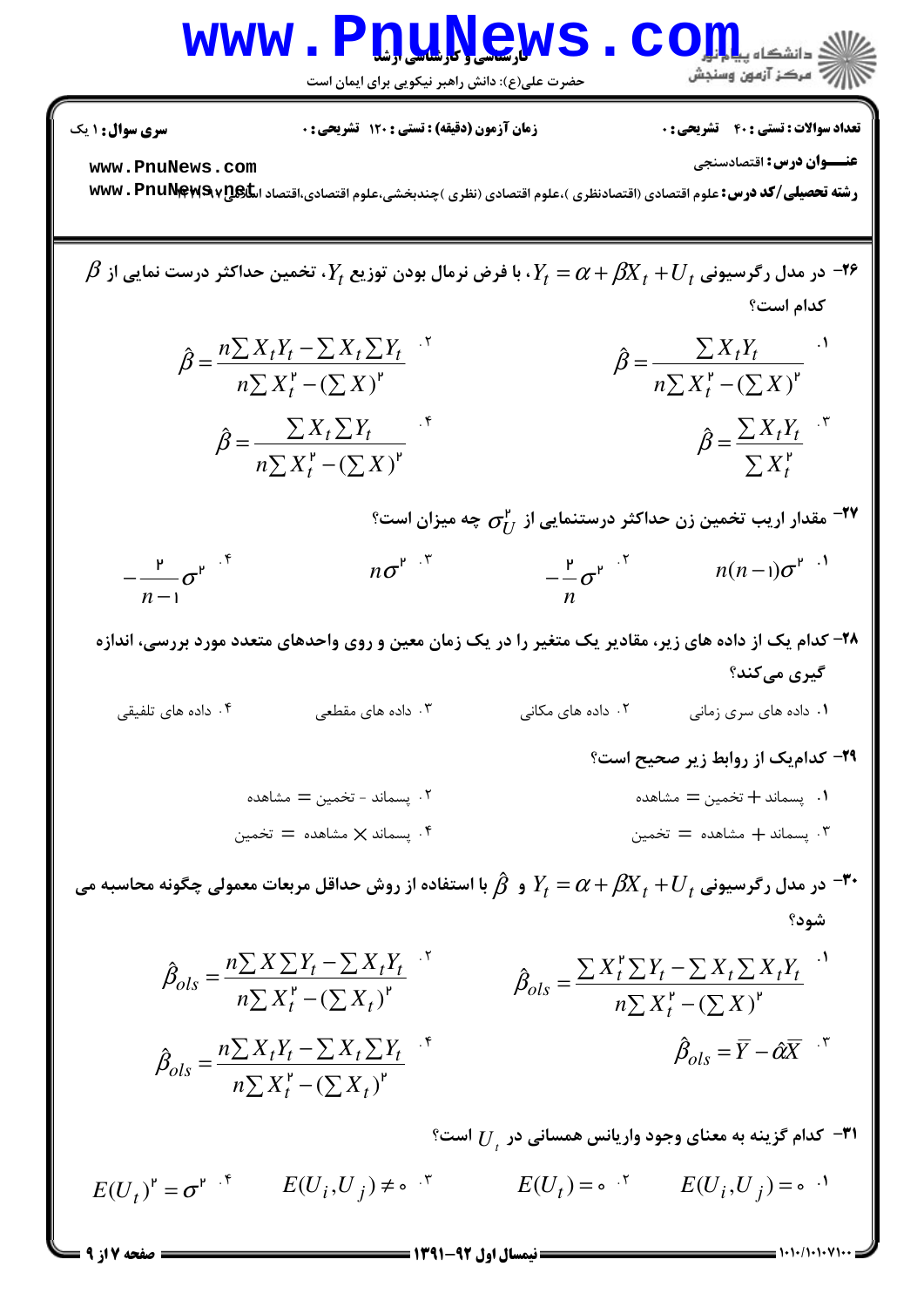

حضرت علی(ع): دانش راهبر نیکویی برای ایمان است

**تعداد سوالات : تستی : 40 - تشریحی : 0** 

**زمان آزمون (دقیقه) : تستی : 120 تشریحی: 0** 

**سری سوال : ۱ یک** 

صفحه 7 از 9 =

عنــوان درس: اقتصادسنجي

www.PnuNews.com

رشته تحصیلی/کد درس: علوم اقتصادی (اقتصادنظری )،علوم اقتصادی (نظری )چندبخشی،علوم اقتصادی،اقتصاد اسکیاپی۷۲۵۹۷۳۰ ۲۳۷۷۰

7  
\n
$$
\beta = \frac{n \sum X_{i} Y_{i} - \sum X_{i} \sum Y_{i}}{n \sum X_{i} Y_{i}} + \sum_{i} X_{i} + U_{i}
$$
\n
$$
\hat{\beta} = \frac{n \sum X_{i} Y_{i} - \sum X_{i} \sum Y_{i}}{n \sum X_{i} Y_{i}} + \sum_{i} X_{i} + U_{i}
$$
\n
$$
\hat{\beta} = \frac{\sum X_{i} Y_{i}}{n \sum X_{i} Y_{i} - (\sum X)^{v}}
$$
\n
$$
\hat{\beta} = \frac{\sum X_{i} Y_{i}}{n \sum X_{i} Y_{i} - (\sum X)^{v}}
$$
\n
$$
\hat{\beta} = \frac{\sum X_{i} Y_{i}}{\sum X_{i} Y_{i}} + \sum_{i} X_{i} Y_{i} - (\sum X)^{v}
$$
\n
$$
= \frac{\sum X_{i} Y_{i}}{n \sum X_{i} Y_{i} - (\sum X)^{v}}
$$
\n
$$
= \frac{\sum X_{i} Y_{i}}{n \sum X_{i} Y_{i} - (\sum X)^{v}}
$$
\n
$$
= \frac{\sum X_{i} Y_{i}}{n \sum X_{i} Y_{i} - (\sum X)^{v}}
$$
\n
$$
= \frac{\sum X_{i} Y_{i}}{n \sum X_{i} Y_{i} - (\sum X)^{v}}
$$
\n
$$
= \frac{\sum X_{i} Y_{i}}{n \sum X_{i} Y_{i} - (\sum X)^{v}}
$$
\n
$$
= \frac{\sum X_{i} Y_{i}}{n \sum X_{i} Y_{i} - (\sum X)^{v}}
$$
\n
$$
= \frac{\sum X_{i} Y_{i}}{n \sum X_{i} Y_{i} - (\sum X)^{v}}
$$
\n
$$
= \frac{\sum X_{i} Y_{i}}{n \sum X_{i} Y_{i} - (\sum X)^{v}}
$$
\n
$$
= \frac{\sum X_{i} Y_{i}}{n \sum X_{i} Y_{i} - \sum X_{i} X_{i} Y_{i}} + \sum_{i} \sum X_{i} Y_{i} - \sum X_{i} X_{i} Y_{i} - \sum X_{i} X_{i} Y_{i} - \sum X_{i} X_{i} Y_{i} - \sum X_{i} X_{i} Y_{i} - \sum X_{i} X_{i} Y_{i} - \sum X_{i
$$

 $E(U_t)^{\mathsf{P}} = \sigma^{\mathsf{P}}$   $\cdot^{\mathsf{F}}$   $E(U_i, U_j) \neq \circ \cdot^{\mathsf{F}}$   $E(U_t) = \circ \cdot^{\mathsf{F}}$   $E(U_i, U_j) = \circ \cdot^{\mathsf{F}}$ 

 $= 1.1.11.1.1$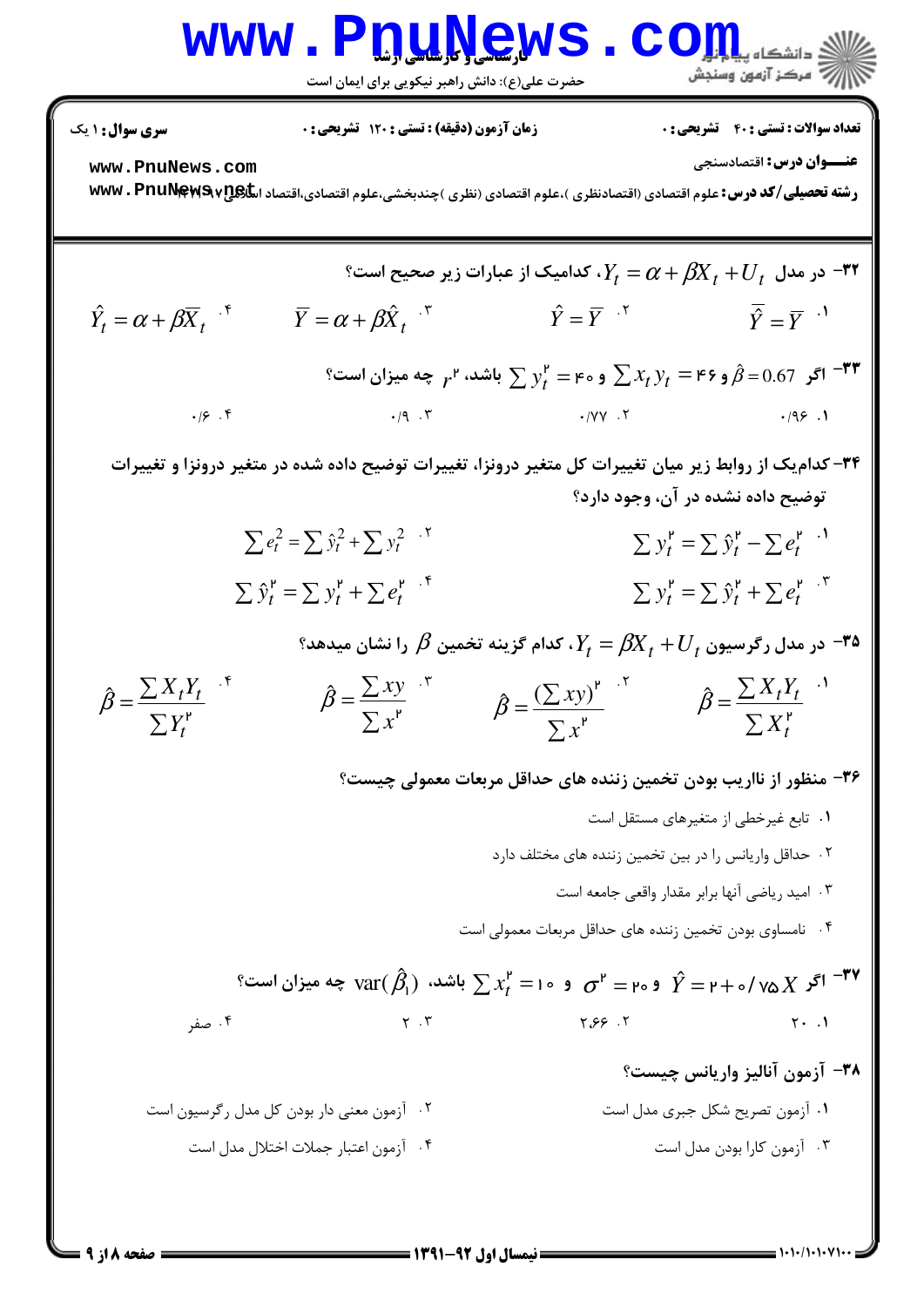### WWW.PnuNews.Com ازارات مرکز آزمون وسنجش

حضرت علی(ع): دانش راهبر نیکویی برای ایمان است

**تعداد سوالات : تستي : 40 - تشريحي : 0** 

زمان آزمون (دقیقه) : تستی : 120 تشریحی : 0

**سری سوال : ۱ یک** 

عنـــوان درس: اقتصادسنجي

www.PnuNews.com

رشته تحصیلی/کد درس: علوم اقتصادی (اقتصادنظری )،علوم اقتصادی (نظری )چندبخشی،علوم اقتصادی،اقتصاد اسکیاپی۷ www . PnuNewS

$$
\hat{Y}_t = \alpha + \beta X_t + U_t
$$
 (d)  $\hat{Y}_t = \alpha + \beta \overline{X}_t$   
\n
$$
\hat{Y}_t = \alpha + \beta \overline{X}_t
$$
  
\n
$$
\hat{Y} = \overline{Y}
$$
  
\n
$$
\hat{Y} = \overline{Y}
$$
  
\n
$$
\hat{Y} = \overline{Y}
$$
  
\n
$$
\hat{Y} = \overline{Y}
$$
  
\n
$$
\hat{Y} = \overline{Y}
$$
  
\n
$$
\hat{Y} = \overline{Y}
$$
  
\n
$$
\hat{Y} = \overline{Y}
$$
  
\n
$$
\hat{Y} = \overline{Y}
$$
  
\n
$$
\hat{Y} = \overline{Y}
$$
  
\n
$$
\hat{Y} = \overline{Y}
$$
  
\n
$$
\hat{Y} = \overline{Y}
$$
  
\n
$$
\hat{Y} = \overline{Y}
$$
  
\n
$$
\hat{Y} = \overline{Y}
$$
  
\n
$$
\hat{Y} = \overline{Y}
$$
  
\n
$$
\hat{Y} = \overline{Y}
$$
  
\n
$$
\hat{Y} = \overline{Y}
$$
  
\n
$$
\hat{Y} = \overline{Y}
$$
  
\n
$$
\hat{Y} = \overline{Y}
$$
  
\n
$$
\hat{Y} = \overline{Y}
$$
  
\n
$$
\hat{Y} = \overline{Y}
$$
  
\n
$$
\hat{Y} = \overline{Y}
$$
  
\n
$$
\hat{Y} = \overline{Y}
$$
  
\n
$$
\hat{Y} = \overline{Y}
$$
  
\n
$$
\hat{Y} = \overline{Y}
$$
  
\n
$$
\hat{Y} = \overline{Y}
$$
  
\n
$$
\hat{Y} = \overline{Y}
$$
  
\n
$$
\hat{Y} = \overline{Y}
$$
  
\n
$$
\hat{Y} = \overline{Y}
$$
  
\n
$$
\hat{Y} = \overline{Y}
$$
  
\n
$$
\hat{Y} = \overline{Y}
$$
  
\n
$$
\hat{Y} = \overline{Y}
$$

۳۴- کدام یک از روابط زیر میان تغییرات کل متغیر درونزا، تغییرات توضیح داده شده در متغیر درونزا و تغییرات توضیح داده نشده در آن، وجود دارد؟

> $\sum e_t^2 = \sum \hat{y}_t^2 + \sum y_t^2$ .  $\sum y_t^{\mathsf{P}} = \sum \hat{y}_t^{\mathsf{P}} - \sum e_t^{\mathsf{P}}$  $\sum y_t^{\mathsf{P}} = \sum \hat{y}_t^{\mathsf{P}} + \sum e_t^{\mathsf{P}}$ .  $\sum \hat{y}_t^{\mathsf{P}} = \sum y_t^{\mathsf{P}} + \sum e_t^{\mathsf{P}}$

> > °س در مدل رگرسیون  $\beta X_{t}+J_{t}=\beta$ ، کدام گزینه تخمین  $\beta$  را نشان میدهد  $^{\circ}$

$$
\hat{\beta} = \frac{\sum X_t Y_t}{\sum Y_t^r} \qquad \qquad \hat{\beta} = \frac{\sum xy}{\sum x^r} \qquad \qquad \hat{\beta} = \frac{(\sum xy)^r}{\sum x^r} \qquad \qquad \hat{\beta} = \frac{\sum X_t Y_t}{\sum X_t^r} \qquad \qquad
$$

۳۶– منظور از نااریب بودن تخمین زننده های حداقل مربعات معمولی چیست؟

- ٠١ تابع غيرخطي از متغيرهاي مستقل است ۰۲ حداقل واریانس را در بین تخمین زننده های مختلف دارد ۰۳ امید ریاضی آنها برابر مقدار واقعی جامعه است ۰۴ نامساوی بودن تخمین زننده های حداقل مربعات معمولی است و ہ $\sigma^{\mathfrak r} = \sum x_t^{\mathfrak r} = \sum x_t^{\mathfrak r} = \sigma^{\mathfrak r} = \sigma^{\mathfrak r} = \tau + \sigma/\sqrt{\Delta} X$  باشد،  $\chi^{\mathfrak r} = \tau$  چه میزان است  $\tau^{\mathfrak r}$ ۰۴ صفر  $Y \cdot Y$  $7.99.7$  $Y \cdot \cdot \cdot$ ٣٨- آزمون آناليز واريانس چيست؟
- ٢. آزمون معنى دار بودن كل مدل ركرسيون است ۰۱ آزمون تصریح شکل جبری مدل است ۴. آزمون اعتبار جملات اختلال مدل است ۰۳ آزمون کارا بودن مدل است